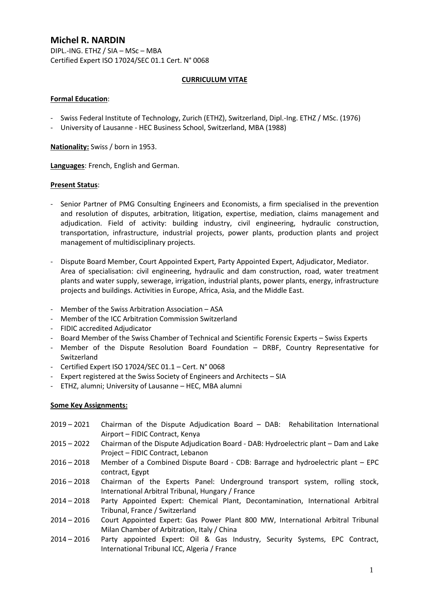# **Michel R. NARDIN**

DIPL.-ING. ETHZ / SIA – MSc – MBA Certified Expert ISO 17024/SEC 01.1 Cert. N° 0068

## **CURRICULUM VITAE**

## **Formal Education**:

- Swiss Federal Institute of Technology, Zurich (ETHZ), Switzerland, Dipl.-Ing. ETHZ / MSc. (1976)
- University of Lausanne HEC Business School, Switzerland, MBA (1988)

**Nationality:** Swiss / born in 1953.

**Languages**: French, English and German.

## **Present Status**:

- Senior Partner of PMG Consulting Engineers and Economists, a firm specialised in the prevention and resolution of disputes, arbitration, litigation, expertise, mediation, claims management and adjudication. Field of activity: building industry, civil engineering, hydraulic construction, transportation, infrastructure, industrial projects, power plants, production plants and project management of multidisciplinary projects.
- Dispute Board Member, Court Appointed Expert, Party Appointed Expert, Adjudicator, Mediator. Area of specialisation: civil engineering, hydraulic and dam construction, road, water treatment plants and water supply, sewerage, irrigation, industrial plants, power plants, energy, infrastructure projects and buildings. Activities in Europe, Africa, Asia, and the Middle East.
- Member of the Swiss Arbitration Association ASA
- Member of the ICC Arbitration Commission Switzerland
- FIDIC accredited Adjudicator
- Board Member of the Swiss Chamber of Technical and Scientific Forensic Experts Swiss Experts
- Member of the Dispute Resolution Board Foundation DRBF, Country Representative for Switzerland
- Certified Expert ISO 17024/SEC 01.1 Cert. N° 0068
- Expert registered at the Swiss Society of Engineers and Architects SIA
- ETHZ, alumni; University of Lausanne HEC, MBA alumni

#### **Some Key Assignments:**

- 2019 2021 Chairman of the Dispute Adjudication Board DAB: Rehabilitation International Airport – FIDIC Contract, Kenya
- 2015 2022 Chairman of the Dispute Adjudication Board DAB: Hydroelectric plant Dam and Lake Project – FIDIC Contract, Lebanon
- 2016 2018 Member of a Combined Dispute Board CDB: Barrage and hydroelectric plant EPC contract, Egypt
- 2016 2018 Chairman of the Experts Panel: Underground transport system, rolling stock, International Arbitral Tribunal, Hungary / France
- 2014 2018 Party Appointed Expert: Chemical Plant, Decontamination, International Arbitral Tribunal, France / Switzerland
- 2014 2016 Court Appointed Expert: Gas Power Plant 800 MW, International Arbitral Tribunal Milan Chamber of Arbitration, Italy / China
- 2014 2016 Party appointed Expert: Oil & Gas Industry, Security Systems, EPC Contract, International Tribunal ICC, Algeria / France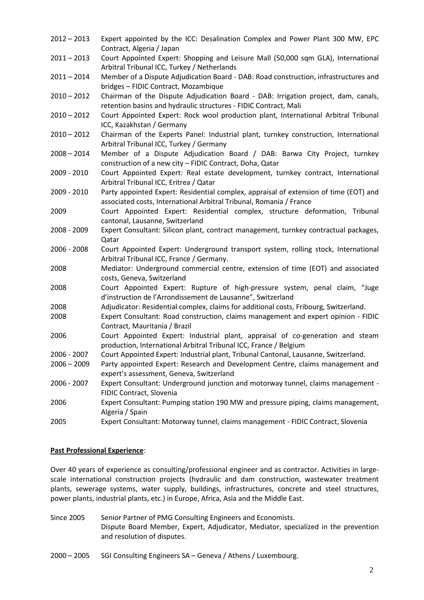| $2012 - 2013$ | Expert appointed by the ICC: Desalination Complex and Power Plant 300 MW, EPC<br>Contract, Algeria / Japan                                                   |
|---------------|--------------------------------------------------------------------------------------------------------------------------------------------------------------|
| $2011 - 2013$ | Court Appointed Expert: Shopping and Leisure Mall (50,000 sqm GLA), International<br>Arbitral Tribunal ICC, Turkey / Netherlands                             |
| $2011 - 2014$ | Member of a Dispute Adjudication Board - DAB: Road construction, infrastructures and<br>bridges - FIDIC Contract, Mozambique                                 |
| $2010 - 2012$ | Chairman of the Dispute Adjudication Board - DAB: Irrigation project, dam, canals,<br>retention basins and hydraulic structures - FIDIC Contract, Mali       |
| $2010 - 2012$ | Court Appointed Expert: Rock wool production plant, International Arbitral Tribunal<br>ICC, Kazakhstan / Germany                                             |
| $2010 - 2012$ | Chairman of the Experts Panel: Industrial plant, turnkey construction, International<br>Arbitral Tribunal ICC, Turkey / Germany                              |
| $2008 - 2014$ | Member of a Dispute Adjudication Board / DAB: Barwa City Project, turnkey<br>construction of a new city - FIDIC Contract, Doha, Qatar                        |
| 2009 - 2010   | Court Appointed Expert: Real estate development, turnkey contract, International<br>Arbitral Tribunal ICC, Eritrea / Qatar                                   |
| 2009 - 2010   | Party appointed Expert: Residential complex, appraisal of extension of time (EOT) and<br>associated costs, International Arbitral Tribunal, Romania / France |
| 2009          | Court Appointed Expert: Residential complex, structure deformation, Tribunal<br>cantonal, Lausanne, Switzerland                                              |
| 2008 - 2009   | Expert Consultant: Silicon plant, contract management, turnkey contractual packages,<br>Qatar                                                                |
| 2006 - 2008   | Court Appointed Expert: Underground transport system, rolling stock, International<br>Arbitral Tribunal ICC, France / Germany.                               |
| 2008          | Mediator: Underground commercial centre, extension of time (EOT) and associated<br>costs, Geneva, Switzerland                                                |
| 2008          | Court Appointed Expert: Rupture of high-pressure system, penal claim, "Juge<br>d'instruction de l'Arrondissement de Lausanne", Switzerland                   |
| 2008          | Adjudicator: Residential complex, claims for additional costs, Fribourg, Switzerland.                                                                        |
| 2008          | Expert Consultant: Road construction, claims management and expert opinion - FIDIC<br>Contract, Mauritania / Brazil                                          |
| 2006          | Court Appointed Expert: Industrial plant, appraisal of co-generation and steam<br>production, International Arbitral Tribunal ICC, France / Belgium          |
| 2006 - 2007   | Court Appointed Expert: Industrial plant, Tribunal Cantonal, Lausanne, Switzerland.                                                                          |
| $2006 - 2009$ | Party appointed Expert: Research and Development Centre, claims management and<br>expert's assessment, Geneva, Switzerland                                   |
| 2006 - 2007   | Expert Consultant: Underground junction and motorway tunnel, claims management -<br>FIDIC Contract, Slovenia                                                 |
| 2006          | Expert Consultant: Pumping station 190 MW and pressure piping, claims management,<br>Algeria / Spain                                                         |
| 2005          | Expert Consultant: Motorway tunnel, claims management - FIDIC Contract, Slovenia                                                                             |

#### **Past Professional Experience**:

Over 40 years of experience as consulting/professional engineer and as contractor. Activities in largescale international construction projects (hydraulic and dam construction, wastewater treatment plants, sewerage systems, water supply, buildings, infrastructures, concrete and steel structures, power plants, industrial plants, etc.) in Europe, Africa, Asia and the Middle East.

Since 2005 Senior Partner of PMG Consulting Engineers and Economists. Dispute Board Member, Expert, Adjudicator, Mediator, specialized in the prevention and resolution of disputes.